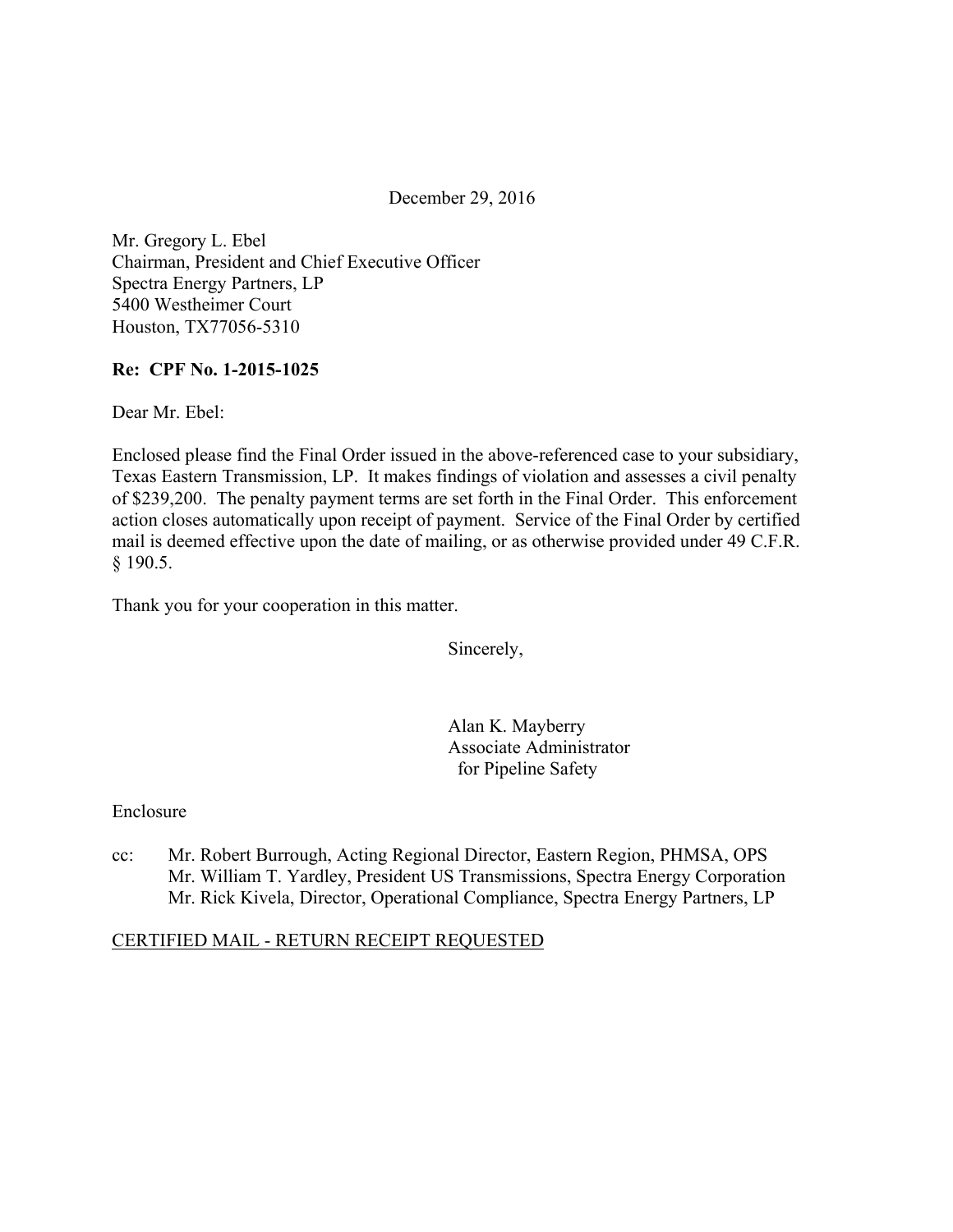December 29, 2016

Mr. Gregory L. Ebel Chairman, President and Chief Executive Officer Spectra Energy Partners, LP 5400 Westheimer Court Houston, TX77056-5310

## **Re: CPF No. 1-2015-1025**

Dear Mr. Ebel:

Enclosed please find the Final Order issued in the above-referenced case to your subsidiary, Texas Eastern Transmission, LP. It makes findings of violation and assesses a civil penalty of \$239,200. The penalty payment terms are set forth in the Final Order. This enforcement action closes automatically upon receipt of payment. Service of the Final Order by certified mail is deemed effective upon the date of mailing, or as otherwise provided under 49 C.F.R. § 190.5.

Thank you for your cooperation in this matter.

Sincerely,

Alan K. Mayberry Associate Administrator for Pipeline Safety

### Enclosure

cc: Mr. Robert Burrough, Acting Regional Director, Eastern Region, PHMSA, OPS Mr. William T. Yardley, President US Transmissions, Spectra Energy Corporation Mr. Rick Kivela, Director, Operational Compliance, Spectra Energy Partners, LP

### CERTIFIED MAIL - RETURN RECEIPT REQUESTED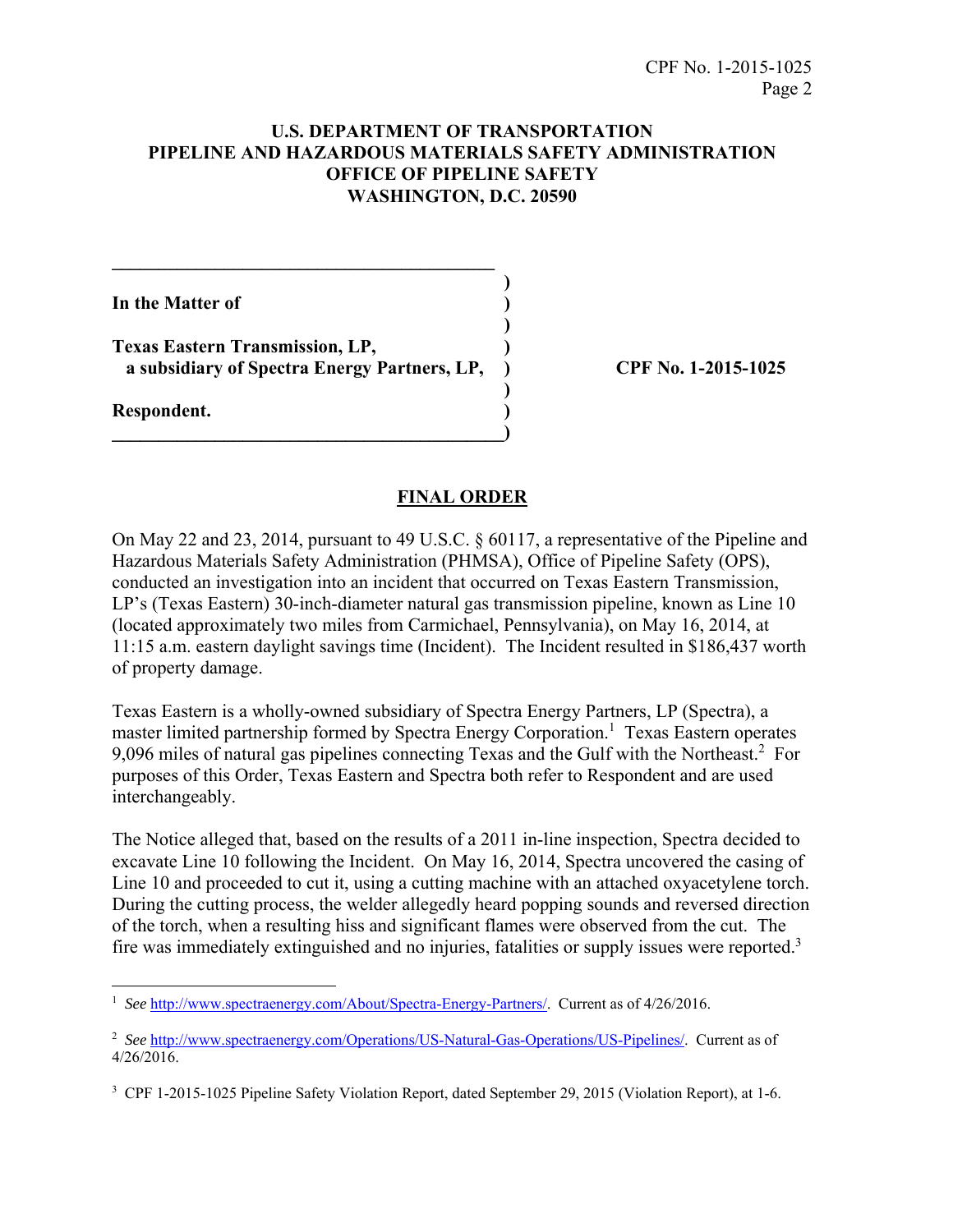### **U.S. DEPARTMENT OF TRANSPORTATION PIPELINE AND HAZARDOUS MATERIALS SAFETY ADMINISTRATION OFFICE OF PIPELINE SAFETY WASHINGTON, D.C. 20590**

**In the Matter of )** 

**Texas Eastern Transmission, LP, ) a subsidiary of Spectra Energy Partners, LP, ) CPF No. 1-2015-1025** 

 **)** 

 **)** 

**\_\_\_\_\_\_\_\_\_\_\_\_\_\_\_\_\_\_\_\_\_\_\_\_\_\_\_\_\_\_\_\_\_\_\_\_\_\_\_\_\_\_)** 

**\_\_\_\_\_\_\_\_\_\_\_\_\_\_\_\_\_\_\_\_\_\_\_\_\_\_\_\_\_\_\_\_\_\_\_\_\_\_\_\_\_ )** 

**Respondent. )** 

#### **FINAL ORDER**

On May 22 and 23, 2014, pursuant to 49 U.S.C. § 60117, a representative of the Pipeline and Hazardous Materials Safety Administration (PHMSA), Office of Pipeline Safety (OPS), conducted an investigation into an incident that occurred on Texas Eastern Transmission, LP's (Texas Eastern) 30-inch-diameter natural gas transmission pipeline, known as Line 10 (located approximately two miles from Carmichael, Pennsylvania), on May 16, 2014, at 11:15 a.m. eastern daylight savings time (Incident). The Incident resulted in \$186,437 worth of property damage.

Texas Eastern is a wholly-owned subsidiary of Spectra Energy Partners, LP (Spectra), a master limited partnership formed by Spectra Energy Corporation.<sup>1</sup> Texas Eastern operates 9,096 miles of natural gas pipelines connecting Texas and the Gulf with the Northeast.<sup>2</sup> For purposes of this Order, Texas Eastern and Spectra both refer to Respondent and are used interchangeably.

The Notice alleged that, based on the results of a 2011 in-line inspection, Spectra decided to excavate Line 10 following the Incident. On May 16, 2014, Spectra uncovered the casing of Line 10 and proceeded to cut it, using a cutting machine with an attached oxyacetylene torch. During the cutting process, the welder allegedly heard popping sounds and reversed direction of the torch, when a resulting hiss and significant flames were observed from the cut. The fire was immediately extinguished and no injuries, fatalities or supply issues were reported.3

 1 *See* http://www.spectraenergy.com/About/Spectra-Energy-Partners/. Current as of 4/26/2016.

<sup>2</sup> *See* http://www.spectraenergy.com/Operations/US-Natural-Gas-Operations/US-Pipelines/. Current as of 4/26/2016.

<sup>&</sup>lt;sup>3</sup> CPF 1-2015-1025 Pipeline Safety Violation Report, dated September 29, 2015 (Violation Report), at 1-6.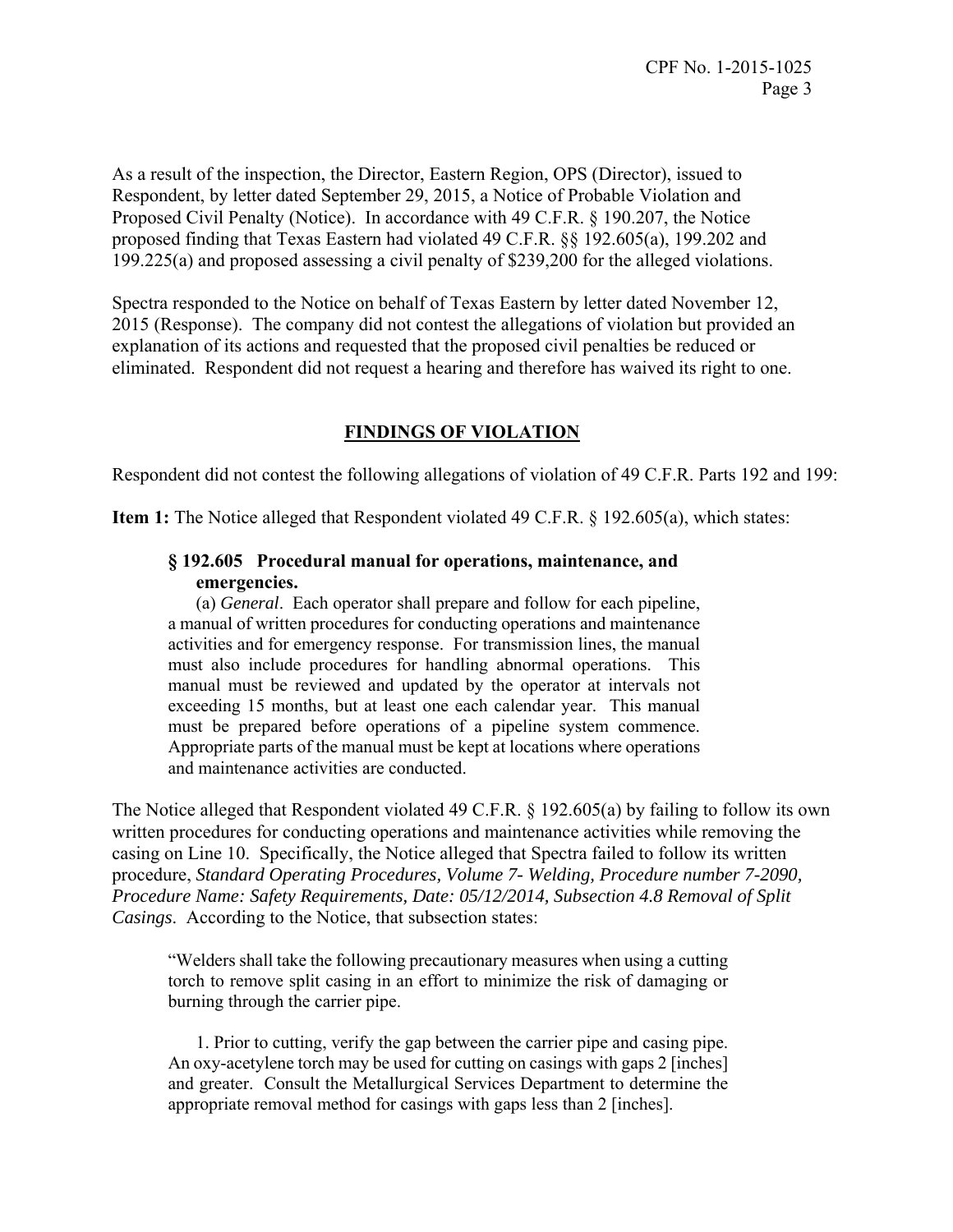As a result of the inspection, the Director, Eastern Region, OPS (Director), issued to Respondent, by letter dated September 29, 2015, a Notice of Probable Violation and Proposed Civil Penalty (Notice). In accordance with 49 C.F.R. § 190.207, the Notice proposed finding that Texas Eastern had violated 49 C.F.R. §§ 192.605(a), 199.202 and 199.225(a) and proposed assessing a civil penalty of \$239,200 for the alleged violations.

Spectra responded to the Notice on behalf of Texas Eastern by letter dated November 12, 2015 (Response). The company did not contest the allegations of violation but provided an explanation of its actions and requested that the proposed civil penalties be reduced or eliminated. Respondent did not request a hearing and therefore has waived its right to one.

# **FINDINGS OF VIOLATION**

Respondent did not contest the following allegations of violation of 49 C.F.R. Parts 192 and 199:

**Item 1:** The Notice alleged that Respondent violated 49 C.F.R. § 192.605(a), which states:

## **§ 192.605 Procedural manual for operations, maintenance, and emergencies.**

(a) *General*. Each operator shall prepare and follow for each pipeline, a manual of written procedures for conducting operations and maintenance activities and for emergency response. For transmission lines, the manual must also include procedures for handling abnormal operations. This manual must be reviewed and updated by the operator at intervals not exceeding 15 months, but at least one each calendar year. This manual must be prepared before operations of a pipeline system commence. Appropriate parts of the manual must be kept at locations where operations and maintenance activities are conducted.

The Notice alleged that Respondent violated 49 C.F.R. § 192.605(a) by failing to follow its own written procedures for conducting operations and maintenance activities while removing the casing on Line 10. Specifically, the Notice alleged that Spectra failed to follow its written procedure, *Standard Operating Procedures, Volume 7- Welding, Procedure number 7-2090, Procedure Name: Safety Requirements, Date: 05/12/2014, Subsection 4.8 Removal of Split Casings*. According to the Notice, that subsection states:

"Welders shall take the following precautionary measures when using a cutting torch to remove split casing in an effort to minimize the risk of damaging or burning through the carrier pipe.

 1. Prior to cutting, verify the gap between the carrier pipe and casing pipe. An oxy-acetylene torch may be used for cutting on casings with gaps 2 [inches] and greater. Consult the Metallurgical Services Department to determine the appropriate removal method for casings with gaps less than 2 [inches].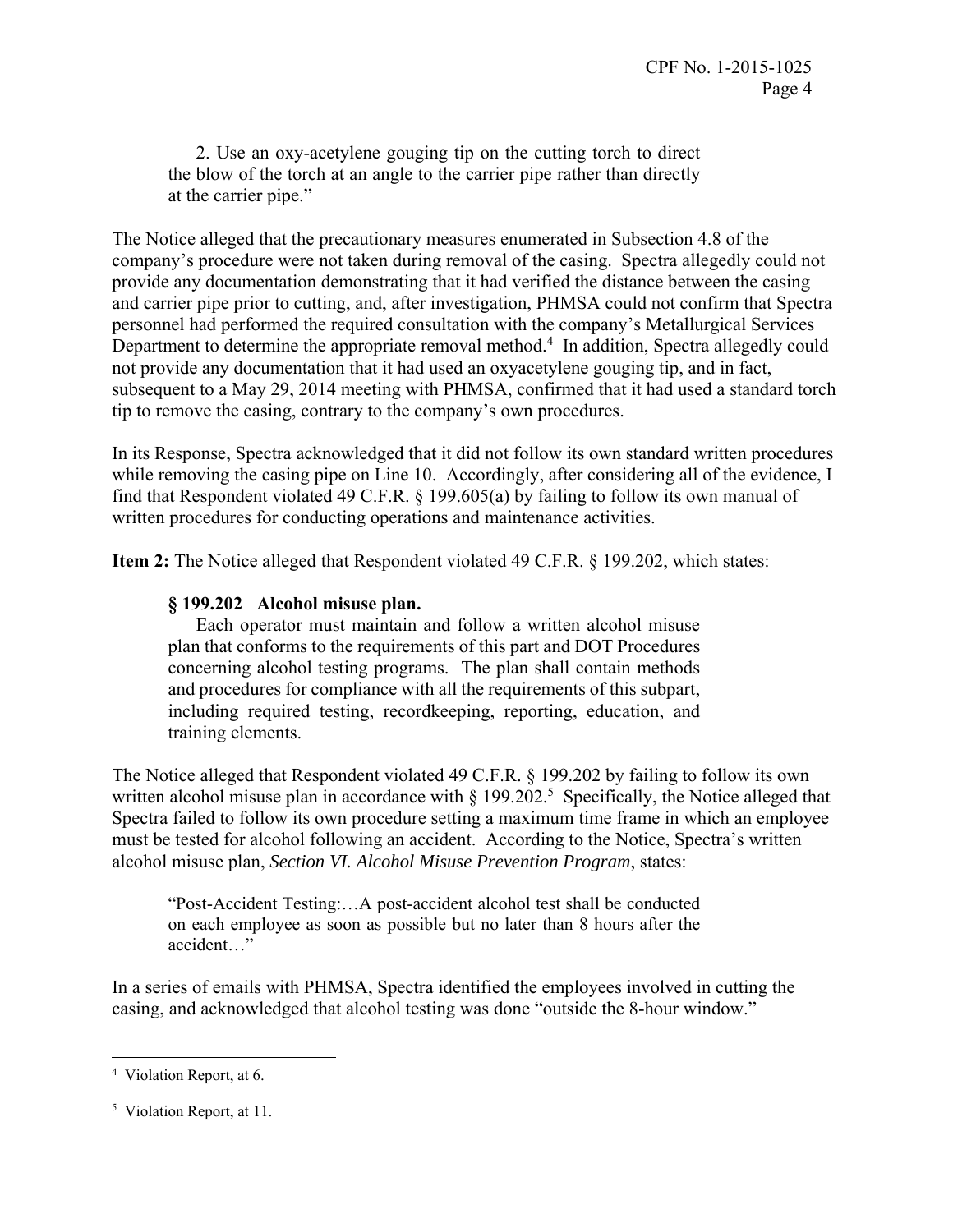2. Use an oxy-acetylene gouging tip on the cutting torch to direct the blow of the torch at an angle to the carrier pipe rather than directly at the carrier pipe."

The Notice alleged that the precautionary measures enumerated in Subsection 4.8 of the company's procedure were not taken during removal of the casing. Spectra allegedly could not provide any documentation demonstrating that it had verified the distance between the casing and carrier pipe prior to cutting, and, after investigation, PHMSA could not confirm that Spectra personnel had performed the required consultation with the company's Metallurgical Services Department to determine the appropriate removal method.<sup>4</sup> In addition, Spectra allegedly could not provide any documentation that it had used an oxyacetylene gouging tip, and in fact, subsequent to a May 29, 2014 meeting with PHMSA, confirmed that it had used a standard torch tip to remove the casing, contrary to the company's own procedures.

In its Response, Spectra acknowledged that it did not follow its own standard written procedures while removing the casing pipe on Line 10. Accordingly, after considering all of the evidence, I find that Respondent violated 49 C.F.R. § 199.605(a) by failing to follow its own manual of written procedures for conducting operations and maintenance activities.

**Item 2:** The Notice alleged that Respondent violated 49 C.F.R. § 199.202, which states:

## **§ 199.202 Alcohol misuse plan.**

Each operator must maintain and follow a written alcohol misuse plan that conforms to the requirements of this part and DOT Procedures concerning alcohol testing programs. The plan shall contain methods and procedures for compliance with all the requirements of this subpart, including required testing, recordkeeping, reporting, education, and training elements.

The Notice alleged that Respondent violated 49 C.F.R. § 199.202 by failing to follow its own written alcohol misuse plan in accordance with  $\S 199.202$ <sup>5</sup> Specifically, the Notice alleged that Spectra failed to follow its own procedure setting a maximum time frame in which an employee must be tested for alcohol following an accident. According to the Notice, Spectra's written alcohol misuse plan, *Section VI. Alcohol Misuse Prevention Program*, states:

"Post-Accident Testing:…A post-accident alcohol test shall be conducted on each employee as soon as possible but no later than 8 hours after the accident…"

In a series of emails with PHMSA, Spectra identified the employees involved in cutting the casing, and acknowledged that alcohol testing was done "outside the 8-hour window."

<sup>4</sup> Violation Report, at 6.

<sup>5</sup> Violation Report, at 11.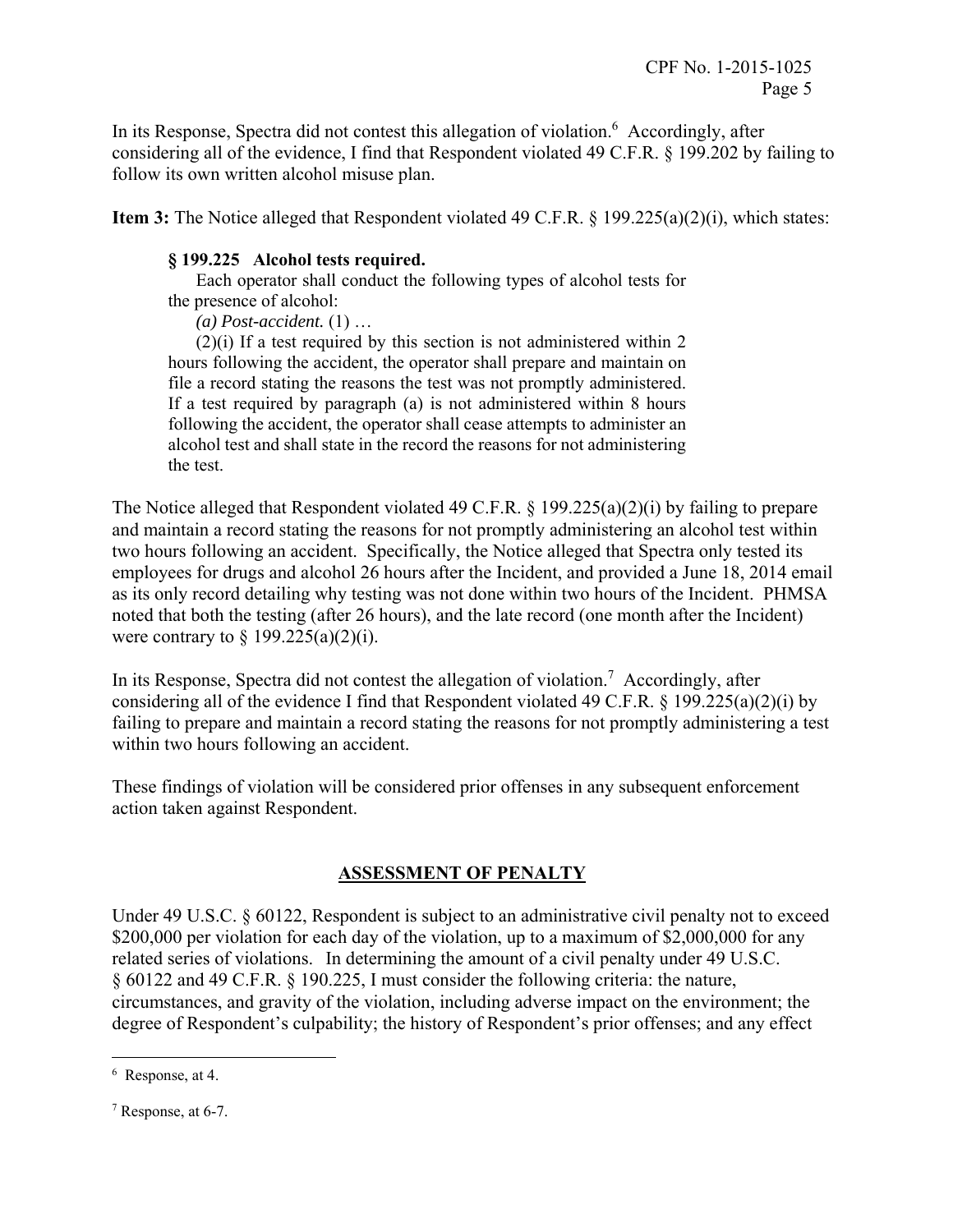In its Response, Spectra did not contest this allegation of violation.<sup>6</sup> Accordingly, after considering all of the evidence, I find that Respondent violated 49 C.F.R. § 199.202 by failing to follow its own written alcohol misuse plan.

**Item 3:** The Notice alleged that Respondent violated 49 C.F.R. § 199.225(a)(2)(i), which states:

# **§ 199.225 Alcohol tests required.**

 Each operator shall conduct the following types of alcohol tests for the presence of alcohol:

*(a) Post-accident.* (1) …

(2)(i) If a test required by this section is not administered within 2 hours following the accident, the operator shall prepare and maintain on file a record stating the reasons the test was not promptly administered. If a test required by paragraph (a) is not administered within 8 hours following the accident, the operator shall cease attempts to administer an alcohol test and shall state in the record the reasons for not administering the test.

The Notice alleged that Respondent violated 49 C.F.R. § 199.225(a)(2)(i) by failing to prepare and maintain a record stating the reasons for not promptly administering an alcohol test within two hours following an accident. Specifically, the Notice alleged that Spectra only tested its employees for drugs and alcohol 26 hours after the Incident, and provided a June 18, 2014 email as its only record detailing why testing was not done within two hours of the Incident. PHMSA noted that both the testing (after 26 hours), and the late record (one month after the Incident) were contrary to  $\S$  199.225(a)(2)(i).

In its Response, Spectra did not contest the allegation of violation.<sup>7</sup> Accordingly, after considering all of the evidence I find that Respondent violated 49 C.F.R. § 199.225(a)(2)(i) by failing to prepare and maintain a record stating the reasons for not promptly administering a test within two hours following an accident.

These findings of violation will be considered prior offenses in any subsequent enforcement action taken against Respondent.

# **ASSESSMENT OF PENALTY**

Under 49 U.S.C. § 60122, Respondent is subject to an administrative civil penalty not to exceed \$200,000 per violation for each day of the violation, up to a maximum of \$2,000,000 for any related series of violations. In determining the amount of a civil penalty under 49 U.S.C. § 60122 and 49 C.F.R. § 190.225, I must consider the following criteria: the nature, circumstances, and gravity of the violation, including adverse impact on the environment; the degree of Respondent's culpability; the history of Respondent's prior offenses; and any effect

<sup>6</sup> Response, at 4.

<sup>7</sup> Response, at 6-7.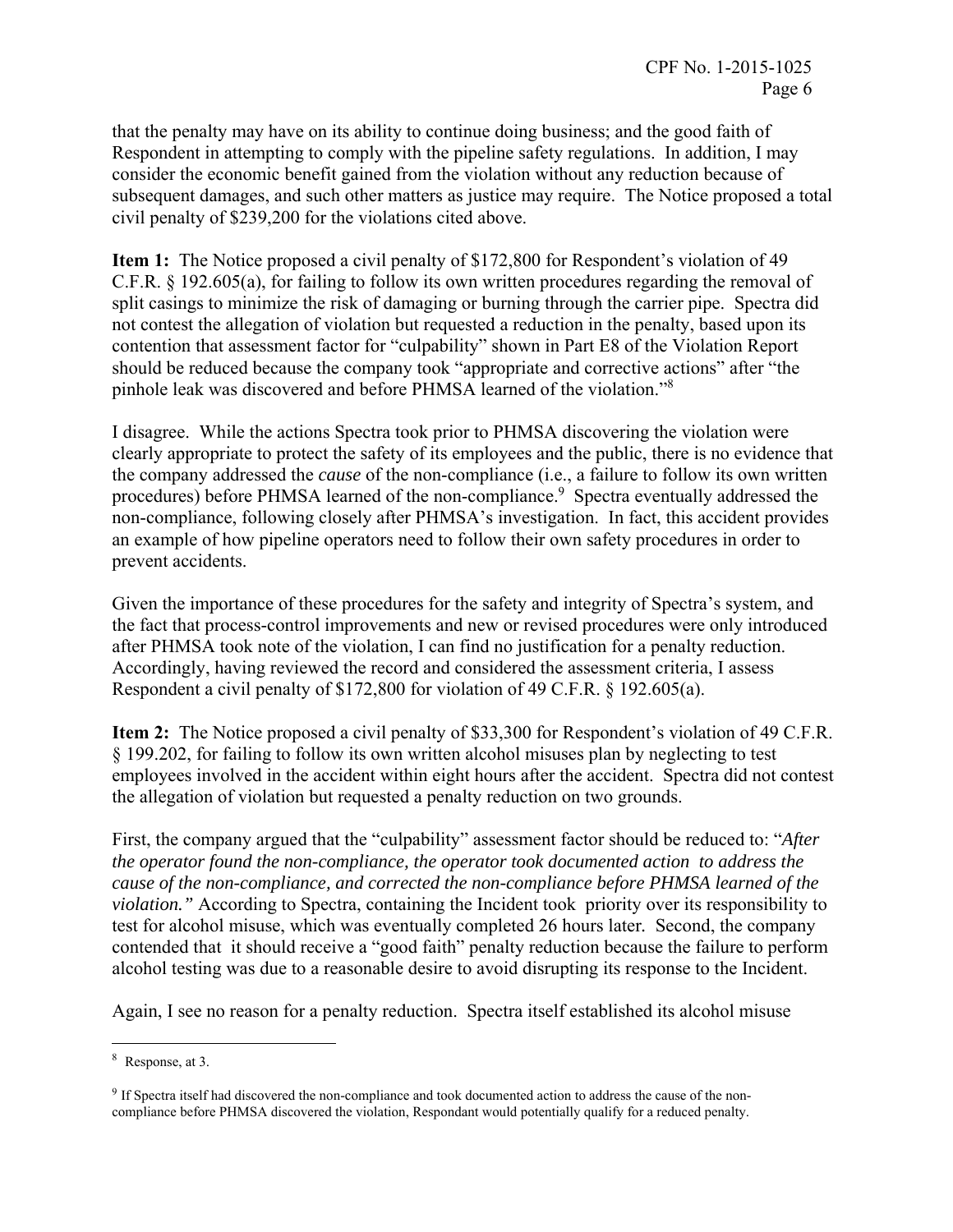that the penalty may have on its ability to continue doing business; and the good faith of Respondent in attempting to comply with the pipeline safety regulations. In addition, I may consider the economic benefit gained from the violation without any reduction because of subsequent damages, and such other matters as justice may require. The Notice proposed a total civil penalty of \$239,200 for the violations cited above.

**Item 1:** The Notice proposed a civil penalty of \$172,800 for Respondent's violation of 49 C.F.R. § 192.605(a), for failing to follow its own written procedures regarding the removal of split casings to minimize the risk of damaging or burning through the carrier pipe. Spectra did not contest the allegation of violation but requested a reduction in the penalty, based upon its contention that assessment factor for "culpability" shown in Part E8 of the Violation Report should be reduced because the company took "appropriate and corrective actions" after "the pinhole leak was discovered and before PHMSA learned of the violation."8

I disagree. While the actions Spectra took prior to PHMSA discovering the violation were clearly appropriate to protect the safety of its employees and the public, there is no evidence that the company addressed the *cause* of the non-compliance (i.e., a failure to follow its own written procedures) before PHMSA learned of the non-compliance.<sup>9</sup> Spectra eventually addressed the non-compliance, following closely after PHMSA's investigation. In fact, this accident provides an example of how pipeline operators need to follow their own safety procedures in order to prevent accidents.

Given the importance of these procedures for the safety and integrity of Spectra's system, and the fact that process-control improvements and new or revised procedures were only introduced after PHMSA took note of the violation, I can find no justification for a penalty reduction. Accordingly, having reviewed the record and considered the assessment criteria, I assess Respondent a civil penalty of \$172,800 for violation of 49 C.F.R. § 192.605(a).

**Item 2:** The Notice proposed a civil penalty of \$33,300 for Respondent's violation of 49 C.F.R. § 199.202, for failing to follow its own written alcohol misuses plan by neglecting to test employees involved in the accident within eight hours after the accident. Spectra did not contest the allegation of violation but requested a penalty reduction on two grounds.

First, the company argued that the "culpability" assessment factor should be reduced to: "*After the operator found the non-compliance, the operator took documented action to address the cause of the non-compliance, and corrected the non-compliance before PHMSA learned of the violation."* According to Spectra, containing the Incident took priority over its responsibility to test for alcohol misuse, which was eventually completed 26 hours later*.* Second, the company contended that it should receive a "good faith" penalty reduction because the failure to perform alcohol testing was due to a reasonable desire to avoid disrupting its response to the Incident.

Again, I see no reason for a penalty reduction. Spectra itself established its alcohol misuse

<sup>8</sup> Response, at 3.

<sup>&</sup>lt;sup>9</sup> If Spectra itself had discovered the non-compliance and took documented action to address the cause of the noncompliance before PHMSA discovered the violation, Respondant would potentially qualify for a reduced penalty.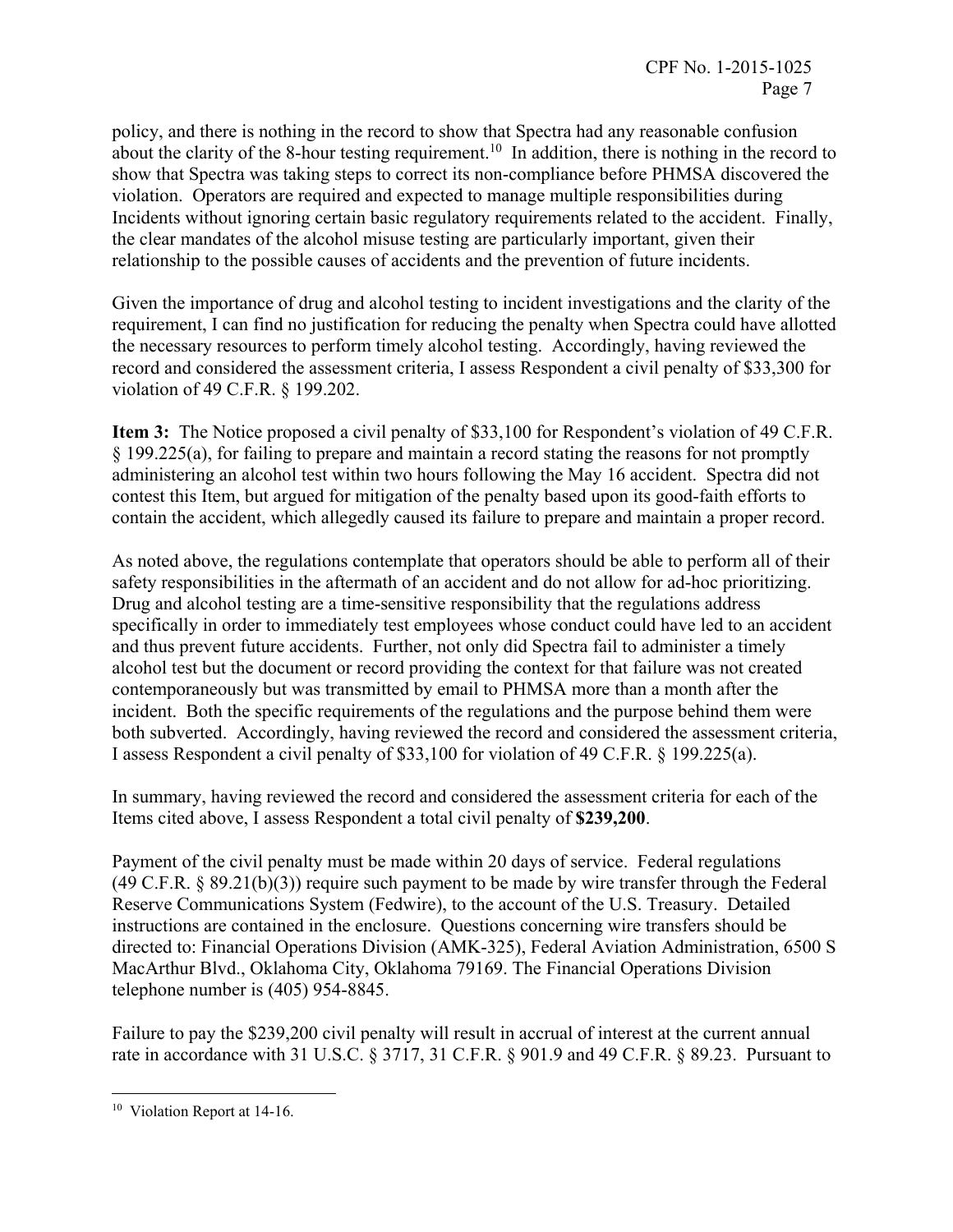policy, and there is nothing in the record to show that Spectra had any reasonable confusion about the clarity of the 8-hour testing requirement.<sup>10</sup> In addition, there is nothing in the record to show that Spectra was taking steps to correct its non-compliance before PHMSA discovered the violation. Operators are required and expected to manage multiple responsibilities during Incidents without ignoring certain basic regulatory requirements related to the accident. Finally, the clear mandates of the alcohol misuse testing are particularly important, given their relationship to the possible causes of accidents and the prevention of future incidents.

Given the importance of drug and alcohol testing to incident investigations and the clarity of the requirement, I can find no justification for reducing the penalty when Spectra could have allotted the necessary resources to perform timely alcohol testing. Accordingly, having reviewed the record and considered the assessment criteria, I assess Respondent a civil penalty of \$33,300 for violation of 49 C.F.R. § 199.202.

**Item 3:** The Notice proposed a civil penalty of \$33,100 for Respondent's violation of 49 C.F.R. § 199.225(a), for failing to prepare and maintain a record stating the reasons for not promptly administering an alcohol test within two hours following the May 16 accident. Spectra did not contest this Item, but argued for mitigation of the penalty based upon its good-faith efforts to contain the accident, which allegedly caused its failure to prepare and maintain a proper record.

As noted above, the regulations contemplate that operators should be able to perform all of their safety responsibilities in the aftermath of an accident and do not allow for ad-hoc prioritizing. Drug and alcohol testing are a time-sensitive responsibility that the regulations address specifically in order to immediately test employees whose conduct could have led to an accident and thus prevent future accidents. Further, not only did Spectra fail to administer a timely alcohol test but the document or record providing the context for that failure was not created contemporaneously but was transmitted by email to PHMSA more than a month after the incident. Both the specific requirements of the regulations and the purpose behind them were both subverted. Accordingly, having reviewed the record and considered the assessment criteria, I assess Respondent a civil penalty of \$33,100 for violation of 49 C.F.R. § 199.225(a).

In summary, having reviewed the record and considered the assessment criteria for each of the Items cited above, I assess Respondent a total civil penalty of **\$239,200**.

Payment of the civil penalty must be made within 20 days of service. Federal regulations (49 C.F.R. § 89.21(b)(3)) require such payment to be made by wire transfer through the Federal Reserve Communications System (Fedwire), to the account of the U.S. Treasury. Detailed instructions are contained in the enclosure. Questions concerning wire transfers should be directed to: Financial Operations Division (AMK-325), Federal Aviation Administration, 6500 S MacArthur Blvd., Oklahoma City, Oklahoma 79169. The Financial Operations Division telephone number is (405) 954-8845.

Failure to pay the \$239,200 civil penalty will result in accrual of interest at the current annual rate in accordance with 31 U.S.C. § 3717, 31 C.F.R. § 901.9 and 49 C.F.R. § 89.23. Pursuant to

<sup>&</sup>lt;sup>10</sup> Violation Report at 14-16.